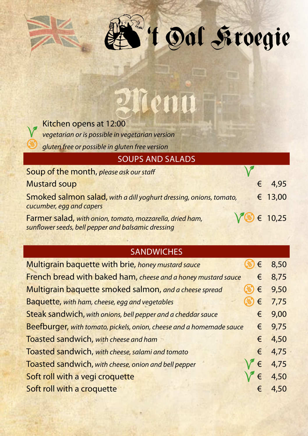| Kitchen opens at 12:00                                             |   |       |
|--------------------------------------------------------------------|---|-------|
| vegetarian or is possible in vegetarian version                    |   |       |
| gluten free or possible in gluten free version                     |   |       |
| <b>SOUPS AND SALADS</b>                                            |   |       |
| Soup of the month, please ask our staff                            |   |       |
| <b>Mustard soup</b>                                                |   | 4,95  |
| Smoked salmon salad, with a dill yoghurt dressing, onions, tomato, | € | 13,00 |

<sup>W</sup>'t Dal Froegie

Farmer salad, *with onion, tomato, mozzarella, dried ham, sunflower seeds, bell pepper and balsamic dressing*

*cucumber, egg and capers*

## **SANDWICHES**

 $\sqrt{8}$  € 10,25

| Multigrain baquette with brie, honey mustard sauce                   | € | 8,50 |
|----------------------------------------------------------------------|---|------|
| French bread with baked ham, cheese and a honey mustard sauce        | € | 8,75 |
| Multigrain baquette smoked salmon, and a cheese spread               | € | 9,50 |
| Baquette, with ham, cheese, egg and vegetables                       | € | 7,75 |
| Steak sandwich, with onions, bell pepper and a cheddar sauce         | € | 9,00 |
| Beefburger, with tomato, pickels, onion, cheese and a homemade sauce | € | 9,75 |
| Toasted sandwich, with cheese and ham                                | € | 4,50 |
| Toasted sandwich, with cheese, salami and tomato                     | € | 4,75 |
| Toasted sandwich, with cheese, onion and bell pepper                 | € | 4,75 |
| Soft roll with a vegi croquette                                      | € | 4,50 |
| Soft roll with a croquette                                           | € | 4,50 |
|                                                                      |   |      |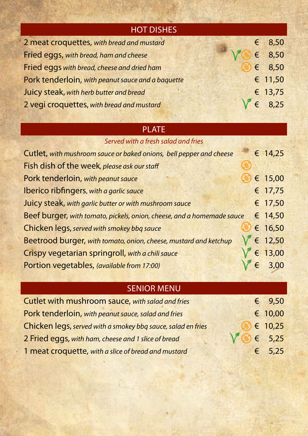| <b>HOT DISHES</b>                                 |                       |                 |
|---------------------------------------------------|-----------------------|-----------------|
| 2 meat croquettes, with bread and mustard         |                       | $\epsilon$ 8,50 |
| Fried eggs, with bread, ham and cheese            | $\sqrt{8}$ $\in$ 8,50 |                 |
| Fried eggs with bread, cheese and dried ham       |                       | $\epsilon$ 8,50 |
| Pork tenderloin, with peanut sauce and a baquette |                       | € 11,50         |
| Juicy steak, with herb butter and bread           |                       | € 13,75         |
| 2 vegi croquettes, with bread and mustard         |                       | $\epsilon$ 8,25 |

## PLATE

|  |  | Served with a fresh salad and fries |  |  |
|--|--|-------------------------------------|--|--|
|--|--|-------------------------------------|--|--|

| Cutlet, with mushroom sauce or baked onions, bell pepper and cheese    |            | € 14,25          |
|------------------------------------------------------------------------|------------|------------------|
| Fish dish of the week, please ask our staff                            |            |                  |
| Pork tenderloin, with peanut sauce                                     |            | € 15,00          |
| Iberico ribfingers, with a garlic sauce                                |            | € 17,75          |
| Juicy steak, with garlic butter or with mushroom sauce                 |            | € 17,50          |
| Beef burger, with tomato, pickels, onion, cheese, and a homemade sauce |            | € 14,50          |
| Chicken legs, served with smokey bbq sauce                             |            | € 16,50          |
| Beetrood burger, with tomato, onion, cheese, mustard and ketchup       |            | $\sqrt{€12,50}$  |
| Crispy vegetarian springroll, with a chili sauce                       |            | $\sqrt{6}$ 13,00 |
| Portion vegetables, (available from 17:00)                             | $\epsilon$ | 3,00             |

## SENIOR MENU

| Cutlet with mushroom sauce, with salad and fries             | $\epsilon$ 9,50  |
|--------------------------------------------------------------|------------------|
| Pork tenderloin, with peanut sauce, salad and fries          | $\epsilon$ 10,00 |
| Chicken legs, served with a smokey bbq sauce, salad en fries | $\epsilon$ 10,25 |
| 2 Fried eggs, with ham, cheese and 1 slice of bread          | $6 \t 5,25$      |
| 1 meat croquette, with a slice of bread and mustard          | $\epsilon$ 5,25  |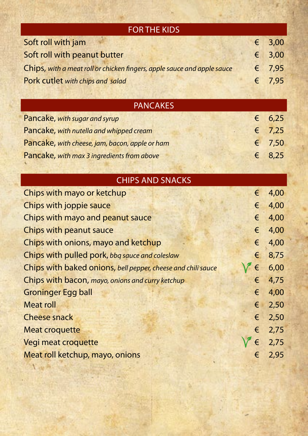| <b>FOR THE KIDS</b>                                                     |   |      |
|-------------------------------------------------------------------------|---|------|
| Soft roll with jam                                                      | € | 3,00 |
| Soft roll with peanut butter                                            | € | 3,00 |
| Chips, with a meat roll or chicken fingers, apple sauce and apple sauce | € | 7,95 |
| Pork cutlet with chips and salad                                        | € | 7,95 |
|                                                                         |   |      |
| <b>PANCAKES</b>                                                         |   |      |
| Pancake, with sugar and syrup                                           | € | 6,25 |
| Pancake, with nutella and whipped cream                                 | € | 7,25 |
| Pancake, with cheese, jam, bacon, apple or ham                          | € | 7,50 |
| Pancake, with max 3 ingredients from above                              | € | 8,25 |
|                                                                         |   |      |
| <b>CHIPS AND SNACKS</b>                                                 |   |      |
| Chips with mayo or ketchup                                              | € | 4,00 |
| Chips with joppie sauce                                                 | € | 4,00 |
| Chips with mayo and peanut sauce                                        | € | 4,00 |
| Chips with peanut sauce                                                 | € | 4,00 |
| Chips with onions, mayo and ketchup                                     | € | 4,00 |
| Chips with pulled pork, bbq sauce and coleslaw                          | € | 8,75 |
| Chips with baked onions, bell pepper, cheese and chili sauce            | € | 6,00 |
| Chips with bacon, mayo, onions and curry ketchup                        | € | 4,75 |
| <b>Groninger Egg ball</b>                                               | € | 4,00 |
| <b>Meat roll</b>                                                        | € | 2,50 |
| <b>Cheese snack</b>                                                     | € | 2,50 |
| <b>Meat croquette</b>                                                   | € | 2,75 |
| Vegi meat croquette                                                     | € | 2,75 |
| Meat roll ketchup, mayo, onions                                         | € | 2,95 |